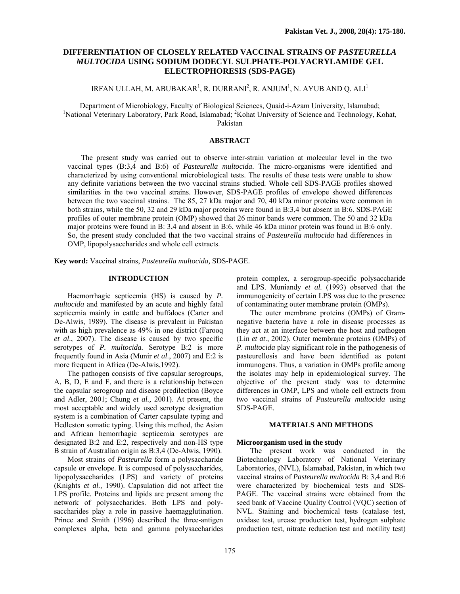# **DIFFERENTIATION OF CLOSELY RELATED VACCINAL STRAINS OF** *PASTEURELLA MULTOCIDA* **USING SODIUM DODECYL SULPHATE-POLYACRYLAMIDE GEL ELECTROPHORESIS (SDS-PAGE)**

# IRFAN ULLAH, M. ABUBAKAR $^{\rm l}$ , R. DURRANI $^{\rm 2}$ , R. ANJUM $^{\rm l}$ , N. AYUB AND Q. ALI $^{\rm l}$

Department of Microbiology, Faculty of Biological Sciences, Quaid-i-Azam University, Islamabad; 1 National Veterinary Laboratory, Park Road, Islamabad; <sup>2</sup>Kohat University of Science and Technology, Kohat, Pakistan

# **ABSTRACT**

The present study was carried out to observe inter-strain variation at molecular level in the two vaccinal types (B:3,4 and B:6) of *Pasteurella multocida*. The micro-organisms were identified and characterized by using conventional microbiological tests. The results of these tests were unable to show any definite variations between the two vaccinal strains studied. Whole cell SDS-PAGE profiles showed similarities in the two vaccinal strains. However, SDS-PAGE profiles of envelope showed differences between the two vaccinal strains. The 85, 27 kDa major and 70, 40 kDa minor proteins were common in both strains, while the 50, 32 and 29 kDa major proteins were found in B:3,4 but absent in B:6. SDS-PAGE profiles of outer membrane protein (OMP) showed that 26 minor bands were common. The 50 and 32 kDa major proteins were found in B: 3,4 and absent in B:6, while 46 kDa minor protein was found in B:6 only. So, the present study concluded that the two vaccinal strains of *Pasteurella multocida* had differences in OMP, lipopolysaccharides and whole cell extracts.

**Key word:** Vaccinal strains, *Pasteurella multocida,* SDS-PAGE.

### **INTRODUCTION**

Haemorrhagic septicemia (HS) is caused by *P. multocida* and manifested by an acute and highly fatal septicemia mainly in cattle and buffaloes (Carter and De-Alwis, 1989). The disease is prevalent in Pakistan with as high prevalence as 49% in one district (Farooq *et al*., 2007). The disease is caused by two specific serotypes of *P. multocida.* Serotype B:2 is more frequently found in Asia (Munir *et al*., 2007) and E:2 is more frequent in Africa (De-Alwis,1992).

The pathogen consists of five capsular serogroups, A, B, D, E and F, and there is a relationship between the capsular serogroup and disease predilection (Boyce and Adler, 2001; Chung *et al.,* 2001). At present, the most acceptable and widely used serotype designation system is a combination of Carter capsulate typing and Hedleston somatic typing. Using this method, the Asian and African hemorrhagic septicemia serotypes are designated B:2 and E:2, respectively and non-HS type B strain of Australian origin as B:3,4 (De-Alwis, 1990).

Most strains of *Pasteurella* form a polysaccharide capsule or envelope. It is composed of polysaccharides, lipopolysaccharides (LPS) and variety of proteins (Knights *et al.,* 1990). Capsulation did not affect the LPS profile. Proteins and lipids are present among the network of polysaccharides. Both LPS and polysaccharides play a role in passive haemagglutination. Prince and Smith (1996) described the three-antigen complexes alpha, beta and gamma polysaccharides

protein complex, a serogroup-specific polysaccharide and LPS. Muniandy *et al.* (1993) observed that the immunogenicity of certain LPS was due to the presence of contaminating outer membrane protein (OMPs).

The outer membrane proteins (OMPs) of Gramnegative bacteria have a role in disease processes as they act at an interface between the host and pathogen (Lin *et at*., 2002). Outer membrane proteins (OMPs) of *P. multocida* play significant role in the pathogenesis of pasteurellosis and have been identified as potent immunogens. Thus, a variation in OMPs profile among the isolates may help in epidemiological survey. The objective of the present study was to determine differences in OMP, LPS and whole cell extracts from two vaccinal strains of *Pasteurella multocida* using SDS-PAGE.

# **MATERIALS AND METHODS**

### **Microorganism used in the study**

The present work was conducted in the Biotechnology Laboratory of National Veterinary Laboratories, (NVL), Islamabad, Pakistan, in which two vaccinal strains of *Pasteurella multocida* B: 3,4 and B:6 were characterized by biochemical tests and SDS-PAGE. The vaccinal strains were obtained from the seed bank of Vaccine Quality Control (VQC) section of NVL. Staining and biochemical tests (catalase test, oxidase test, urease production test, hydrogen sulphate production test, nitrate reduction test and motility test)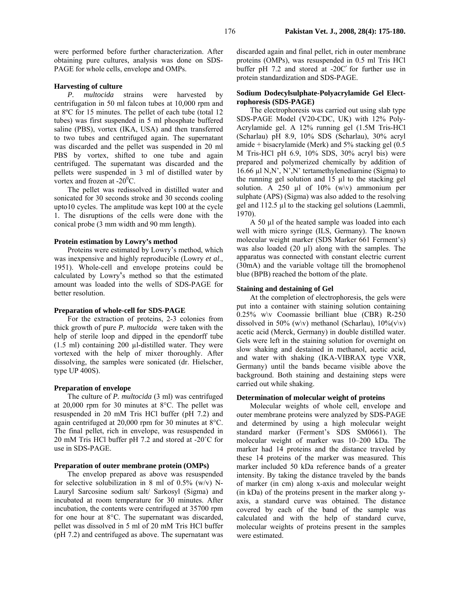were performed before further characterization. After obtaining pure cultures, analysis was done on SDS-PAGE for whole cells, envelope and OMPs.

### **Harvesting of culture**

*P. multocida* strains were harvested by centrifugation in 50 ml falcon tubes at 10,000 rpm and at 8ºC for 15 minutes. The pellet of each tube (total 12 tubes) was first suspended in 5 ml phosphate buffered saline (PBS), vortex (IKA, USA) and then transferred to two tubes and centrifuged again. The supernatant was discarded and the pellet was suspended in 20 ml PBS by vortex, shifted to one tube and again centrifuged. The supernatant was discarded and the pellets were suspended in 3 ml of distilled water by vortex and frozen at  $-20^{\circ}$ C.

The pellet was redissolved in distilled water and sonicated for 30 seconds stroke and 30 seconds cooling upto10 cycles. The amplitude was kept 100 at the cycle 1. The disruptions of the cells were done with the conical probe (3 mm width and 90 mm length).

### **Protein estimation by Lowry's method**

Proteins were estimated by Lowry's method, which was inexpensive and highly reproducible (Lowry *et al*., 1951). Whole-cell and envelope proteins could be calculated by Lowryُ's method so that the estimated amount was loaded into the wells of SDS-PAGE for better resolution.

### **Preparation of whole-cell for SDS-PAGE**

For the extraction of proteins, 2-3 colonies from thick growth of pure *P. multocida* were taken with the help of sterile loop and dipped in the ependorff tube (1.5 ml) containing 200 µl-distilled water. They were vortexed with the help of mixer thoroughly. After dissolving, the samples were sonicated (dr. Hielscher, type UP 400S).

### **Preparation of envelope**

The culture of *P. multocida* (3 ml) was centrifuged at 20,000 rpm for 30 minutes at 8°C. The pellet was resuspended in 20 mM Tris HCl buffer (pH 7.2) and again centrifuged at 20,000 rpm for 30 minutes at 8°C. The final pellet, rich in envelope, was resuspended in 20 mM Tris HCl buffer pH 7.2 and stored at -20˚C for use in SDS-PAGE.

# **Preparation of outer membrane protein (OMPs)**

The envelop prepared as above was resuspended for selective solubilization in 8 ml of  $0.5\%$  (w/v) N-Lauryl Sarcosine sodium salt/ Sarkosyl (Sigma) and incubated at room temperature for 30 minutes. After incubation, the contents were centrifuged at 35700 rpm for one hour at 8°C. The supernatant was discarded, pellet was dissolved in 5 ml of 20 mM Tris HCl buffer (pH 7.2) and centrifuged as above. The supernatant was

discarded again and final pellet, rich in outer membrane proteins (OMPs), was resuspended in 0.5 ml Tris HCl buffer pH  $7.2$  and stored at  $-20C'$  for further use in protein standardization and SDS-PAGE.

## **Sodium Dodecylsulphate-Polyacrylamide Gel Electrophoresis (SDS-PAGE)**

The electrophoresis was carried out using slab type SDS-PAGE Model (V20-CDC, UK) with 12% Poly-Acrylamide gel. A 12% running gel (1.5M Tris-HCl (Scharlau) pH 8.9, 10% SDS (Scharlau), 30% acryl amide + bisacrylamide (Merk) and 5% stacking gel (0.5 M Tris-HCl pH 6.9, 10% SDS, 30% acryl bis) were prepared and polymerized chemically by addition of 16.66  $\mu$ l N,N', N',N' tertamethylenediamine (Sigma) to the running gel solution and 15 µl to the stacking gel solution. A 250  $\mu$ l of 10% (w $\vee$ ) ammonium per sulphate (APS) (Sigma) was also added to the resolving gel and 112.5 µl to the stacking gel solutions (Laemmli, 1970).

A 50 µl of the heated sample was loaded into each well with micro syringe (ILS, Germany). The known molecular weight marker (SDS Marker 661 Ferment's) was also loaded  $(20 \text{ µ})$  along with the samples. The apparatus was connected with constant electric current (30mA) and the variable voltage till the bromophenol blue (BPB) reached the bottom of the plate.

## **Staining and destaining of Gel**

At the completion of electrophoresis, the gels were put into a container with staining solution containing 0.25% w\v Coomassie brilliant blue (CBR) R-250 dissolved in 50% (w\v) methanol (Scharlau),  $10\%$  (v\v) acetic acid (Merck, Germany) in double distilled water. Gels were left in the staining solution for overnight on slow shaking and destained in methanol, acetic acid, and water with shaking (IKA-VIBRAX type VXR, Germany) until the bands became visible above the background. Both staining and destaining steps were carried out while shaking.

### **Determination of molecular weight of proteins**

Molecular weights of whole cell, envelope and outer membrane proteins were analyzed by SDS-PAGE and determined by using a high molecular weight standard marker (Ferment's SDS SM0661). The molecular weight of marker was 10–200 kDa. The marker had 14 proteins and the distance traveled by these 14 proteins of the marker was measured. This marker included 50 kDa reference bands of a greater intensity. By taking the distance traveled by the bands of marker (in cm) along x-axis and molecular weight (in kDa) of the proteins present in the marker along yaxis, a standard curve was obtained. The distance covered by each of the band of the sample was calculated and with the help of standard curve, molecular weights of proteins present in the samples were estimated.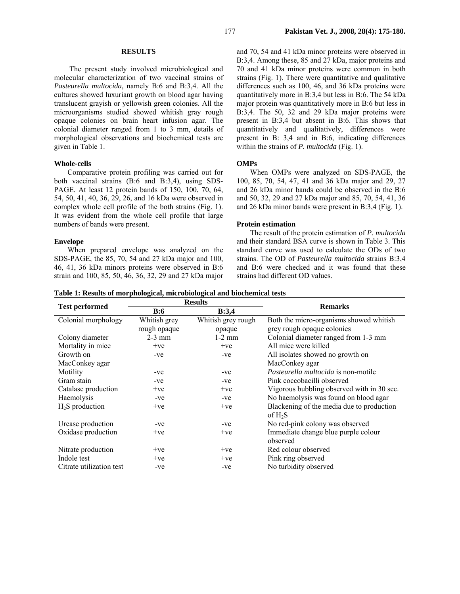### **RESULTS**

 The present study involved microbiological and molecular characterization of two vaccinal strains of *Pasteurella multocida,* namely B:6 and B:3,4. All the cultures showed luxuriant growth on blood agar having translucent grayish or yellowish green colonies. All the microorganisms studied showed whitish gray rough opaque colonies on brain heart infusion agar. The colonial diameter ranged from 1 to 3 mm, details of morphological observations and biochemical tests are given in Table 1.

#### **Whole-cells**

Comparative protein profiling was carried out for both vaccinal strains (B:6 and B:3,4), using SDS-PAGE. At least 12 protein bands of 150, 100, 70, 64, 54, 50, 41, 40, 36, 29, 26, and 16 kDa were observed in complex whole cell profile of the both strains (Fig. 1). It was evident from the whole cell profile that large numbers of bands were present.

### **Envelope**

When prepared envelope was analyzed on the SDS-PAGE, the 85, 70, 54 and 27 kDa major and 100, 46, 41, 36 kDa minors proteins were observed in B:6 strain and 100, 85, 50, 46, 36, 32, 29 and 27 kDa major

and 70, 54 and 41 kDa minor proteins were observed in B:3,4. Among these, 85 and 27 kDa, major proteins and 70 and 41 kDa minor proteins were common in both strains (Fig. 1). There were quantitative and qualitative differences such as 100, 46, and 36 kDa proteins were quantitatively more in B:3,4 but less in B:6. The 54 kDa major protein was quantitatively more in B:6 but less in B:3,4. The 50, 32 and 29 kDa major proteins were present in B:3,4 but absent in B:6. This shows that quantitatively and qualitatively, differences were present in B: 3,4 and in B:6, indicating differences within the strains of *P. multocida* (Fig. 1).

### **OMPs**

When OMPs were analyzed on SDS-PAGE, the 100, 85, 70, 54, 47, 41 and 36 kDa major and 29, 27 and 26 kDa minor bands could be observed in the B:6 and 50, 32, 29 and 27 kDa major and 85, 70, 54, 41, 36 and 26 kDa minor bands were present in B:3,4 (Fig. 1).

### **Protein estimation**

The result of the protein estimation of *P. multocida*  and their standard BSA curve is shown in Table 3. This standard curve was used to calculate the ODs of two strains. The OD of *Pasteurella multocida* strains B:3,4 and B:6 were checked and it was found that these strains had different OD values.

|  | Table 1: Results of morphological, microbiological and biochemical tests |  |
|--|--------------------------------------------------------------------------|--|
|  |                                                                          |  |

|                          | <b>Results</b>      |                    | <b>Remarks</b>                             |  |  |  |  |
|--------------------------|---------------------|--------------------|--------------------------------------------|--|--|--|--|
| <b>Test performed</b>    | <b>B:6</b><br>B:3,4 |                    |                                            |  |  |  |  |
| Colonial morphology      | Whitish grey        | Whitish grey rough | Both the micro-organisms showed whitish    |  |  |  |  |
|                          | rough opaque        | opaque             | grey rough opaque colonies                 |  |  |  |  |
| Colony diameter          | $2-3$ mm            | $1-2$ mm           | Colonial diameter ranged from 1-3 mm       |  |  |  |  |
| Mortality in mice        | $+ve$               | $+ve$              | All mice were killed                       |  |  |  |  |
| Growth on                | $-ve$               | $-ve$              | All isolates showed no growth on           |  |  |  |  |
| MacConkey agar           |                     |                    | MacConkey agar                             |  |  |  |  |
| Motility                 | $-ve$               | -ve                | Pasteurella multocida is non-motile        |  |  |  |  |
| Gram stain               | -ve                 | $-ve$              | Pink coccobacilli observed                 |  |  |  |  |
| Catalase production      | $+ve$               | $+ve$              | Vigorous bubbling observed with in 30 sec. |  |  |  |  |
| Haemolysis               | $-ve$               | $-ve$              | No haemolysis was found on blood agar      |  |  |  |  |
| $H_2S$ production        | $+ve$               | $+ve$              | Blackening of the media due to production  |  |  |  |  |
|                          |                     |                    | of $H_2S$                                  |  |  |  |  |
| Urease production        | $-ve$               | $-ve$              | No red-pink colony was observed            |  |  |  |  |
| Oxidase production       | $+ve$               | $+ve$              | Immediate change blue purple colour        |  |  |  |  |
|                          |                     |                    | observed                                   |  |  |  |  |
| Nitrate production       | $+ve$               | $+ve$              | Red colour observed                        |  |  |  |  |
| Indole test              | $+ve$               | $+ve$              | Pink ring observed                         |  |  |  |  |
| Citrate utilization test | $-ve$               | -ve                | No turbidity observed                      |  |  |  |  |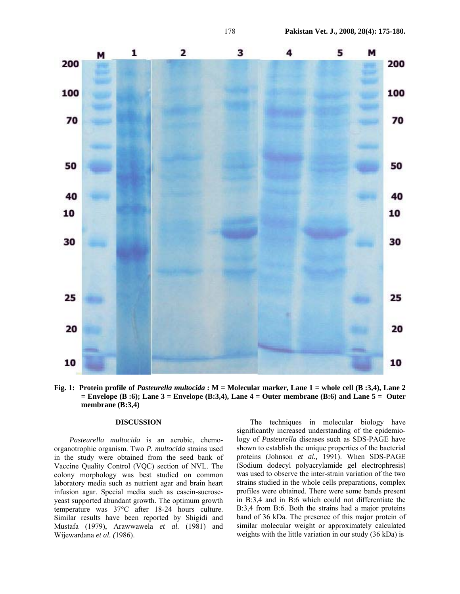

**Fig. 1: Protein profile of** *Pasteurella multocida* **: M = Molecular marker, Lane 1 = whole cell (B :3,4), Lane 2 = Envelope (B :6); Lane 3 = Envelope (B:3,4), Lane 4 = Outer membrane (B:6) and Lane 5 = Outer membrane (B:3,4)** 

## **DISCUSSION**

*Pasteurella multocida* is an aerobic, chemoorganotrophic organism. Two *P. multocida* strains used in the study were obtained from the seed bank of Vaccine Quality Control (VQC) section of NVL. The colony morphology was best studied on common laboratory media such as nutrient agar and brain heart infusion agar. Special media such as casein-sucroseyeast supported abundant growth. The optimum growth temperature was 37°C after 18-24 hours culture. Similar results have been reported by Shigidi and Mustafa (1979), Arawwawela *et al.* (1981) and Wijewardana *et al. (*1986).

The techniques in molecular biology have significantly increased understanding of the epidemiology of *Pasteurella* diseases such as SDS-PAGE have shown to establish the unique properties of the bacterial proteins (Johnson *et al.,* 1991). When SDS-PAGE (Sodium dodecyl polyacrylamide gel electrophresis) was used to observe the inter-strain variation of the two strains studied in the whole cells preparations, complex profiles were obtained. There were some bands present in B:3,4 and in B:6 which could not differentiate the B:3,4 from B:6. Both the strains had a major proteins band of 36 kDa. The presence of this major protein of similar molecular weight or approximately calculated weights with the little variation in our study (36 kDa) is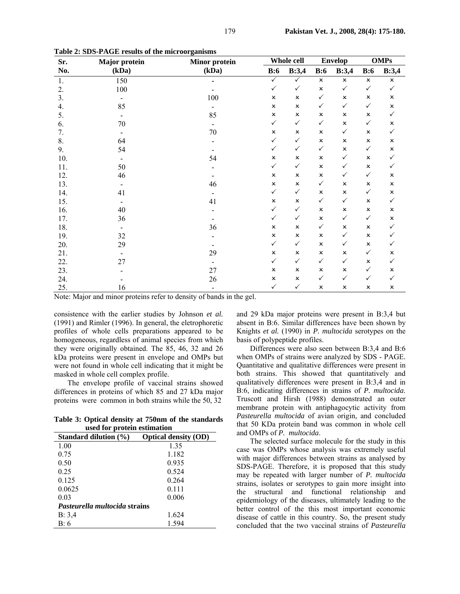| Sr. | <b>Major</b> protein<br><b>Minor</b> protein |        | Whole cell                |                | <b>Envelop</b>            |                | <b>OMPs</b>               |                |
|-----|----------------------------------------------|--------|---------------------------|----------------|---------------------------|----------------|---------------------------|----------------|
| No. | (kDa)                                        | (kDa)  | B:6                       | B:3,4          | B:6                       | B:3,4          | B:6                       | B:3,4          |
| 1.  | 150                                          |        | $\checkmark$              | $\checkmark$   | $\pmb{\times}$            | $\pmb{\times}$ | $\boldsymbol{\mathsf{x}}$ | x              |
| 2.  | 100                                          |        | $\checkmark$              | $\checkmark$   | $\pmb{\times}$            | $\checkmark$   | $\checkmark$              | $\checkmark$   |
| 3.  |                                              | 100    | $\pmb{\times}$            | $\pmb{\times}$ | $\checkmark$              | $\pmb{\times}$ | $\pmb{\times}$            | x              |
| 4.  | 85                                           |        | $\pmb{\times}$            | $\pmb{\times}$ | $\checkmark$              | $\checkmark$   | $\checkmark$              | $\pmb{\times}$ |
| 5.  | $\overline{\phantom{a}}$                     | 85     | $\pmb{\times}$            | $\pmb{\times}$ | $\boldsymbol{\mathsf{x}}$ | x              | $\pmb{\times}$            | $\checkmark$   |
| 6.  | 70                                           |        | $\checkmark$              | $\checkmark$   | $\checkmark$              | $\pmb{\times}$ | $\checkmark$              | x              |
| 7.  |                                              | $70\,$ | $\pmb{\times}$            | $\pmb{\times}$ | $\pmb{\times}$            | $\checkmark$   | $\pmb{\times}$            | $\checkmark$   |
| 8.  | 64                                           |        | $\checkmark$              | $\checkmark$   | $\pmb{\times}$            | x              | $\pmb{\times}$            | x              |
| 9.  | 54                                           |        | $\checkmark$              | $\checkmark$   | $\checkmark$              | x              | $\checkmark$              | ×              |
| 10. |                                              | 54     | $\pmb{\times}$            | ×              | $\pmb{\times}$            | $\checkmark$   | x                         | $\checkmark$   |
| 11. | 50                                           |        | $\checkmark$              | $\checkmark$   | $\pmb{\times}$            | $\checkmark$   | $\pmb{\times}$            | $\checkmark$   |
| 12. | 46                                           |        | $\pmb{\times}$            | ×              | $\pmb{\times}$            | $\checkmark$   | $\checkmark$              | ×              |
| 13. |                                              | 46     | $\pmb{\times}$            | $\pmb{\times}$ | $\checkmark$              | $\pmb{\times}$ | $\pmb{\times}$            | ×              |
| 14. | 41                                           |        | $\checkmark$              | $\checkmark$   | $\pmb{\times}$            | $\pmb{\times}$ | $\checkmark$              | x              |
| 15. |                                              | 41     | $\pmb{\times}$            | $\pmb{\times}$ | $\checkmark$              | $\checkmark$   | $\pmb{\times}$            | $\checkmark$   |
| 16. | 40                                           |        | $\checkmark$              | $\checkmark$   | $\pmb{\times}$            | x              | $\pmb{\times}$            | $\pmb{\times}$ |
| 17. | 36                                           |        | $\checkmark$              | $\checkmark$   | $\pmb{\times}$            | $\checkmark$   | $\checkmark$              | ×              |
| 18. |                                              | 36     | $\pmb{\times}$            | $\pmb{\times}$ | $\checkmark$              | x              | $\pmb{\times}$            | $\checkmark$   |
| 19. | 32                                           |        | $\pmb{\times}$            | ×              | x                         | $\checkmark$   | $\pmb{\times}$            | ✓              |
| 20. | 29                                           |        | $\checkmark$              | $\checkmark$   | $\pmb{\times}$            | $\checkmark$   | $\pmb{\times}$            | ✓              |
| 21. |                                              | 29     | $\boldsymbol{\mathsf{x}}$ | $\pmb{\times}$ | $\pmb{\times}$            | $\pmb{\times}$ | $\checkmark$              | x              |
| 22. | 27                                           |        | $\checkmark$              | $\checkmark$   | $\checkmark$              | $\checkmark$   | $\pmb{\times}$            | ✓              |
| 23. |                                              | 27     | $\pmb{\times}$            | $\pmb{\times}$ | $\boldsymbol{\mathsf{x}}$ | $\pmb{\times}$ | $\checkmark$              | x              |
| 24. |                                              | 26     | $\pmb{\times}$            | ×              | $\checkmark$              | $\checkmark$   | $\checkmark$              | ✓              |
| 25. | 16                                           |        | $\checkmark$              | $\checkmark$   | $\pmb{\times}$            | x              | $\pmb{\times}$            | ×              |

**Table 2: SDS-PAGE results of the microorganisms** 

Note: Major and minor proteins refer to density of bands in the gel.

consistence with the earlier studies by Johnson *et al.*  (1991) and Rimler (1996). In general, the eletrophoretic profiles of whole cells preparations appeared to be homogeneous, regardless of animal species from which they were originally obtained. The 85, 46, 32 and 26 kDa proteins were present in envelope and OMPs but were not found in whole cell indicating that it might be masked in whole cell complex profile.

The envelope profile of vaccinal strains showed differences in proteins of which 85 and 27 kDa major proteins were common in both strains while the 50, 32

**Table 3: Optical density at 750nm of the standards used for protein estimation** 

| asea for protein estimation          |                             |  |
|--------------------------------------|-----------------------------|--|
| Standard dilution (%)                | <b>Optical density (OD)</b> |  |
| 1.00                                 | 1.35                        |  |
| 0.75                                 | 1.182                       |  |
| 0.50                                 | 0.935                       |  |
| 0.25                                 | 0.524                       |  |
| 0.125                                | 0.264                       |  |
| 0.0625                               | 0.111                       |  |
| 0.03                                 | 0.006                       |  |
| <i>Pasteurella multocida strains</i> |                             |  |
| B: 3,4                               | 1.624                       |  |
| B:6                                  | 1.594                       |  |

and 29 kDa major proteins were present in B:3,4 but absent in B:6. Similar differences have been shown by Knights *et al.* (1990) in *P. multocida* serotypes on the basis of polypeptide profiles.

Differences were also seen between B:3,4 and B:6 when OMPs of strains were analyzed by SDS - PAGE. Quantitative and qualitative differences were present in both strains. This showed that quantitatively and qualitatively differences were present in B:3,4 and in B:6, indicating differences in strains of *P. multocida*. Truscott and Hirsh (1988) demonstrated an outer membrane protein with antiphagocytic activity from *Pasteurella multocida* of avian origin, and concluded that 50 KDa protein band was common in whole cell and OMPs of *P. multocida*.

The selected surface molecule for the study in this case was OMPs whose analysis was extremely useful with major differences between strains as analysed by SDS-PAGE. Therefore, it is proposed that this study may be repeated with larger number of *P. multocida*  strains, isolates or serotypes to gain more insight into the structural and functional relationship and epidemiology of the diseases, ultimately leading to the better control of the this most important economic disease of cattle in this country. So, the present study concluded that the two vaccinal strains of *Pasteurella*